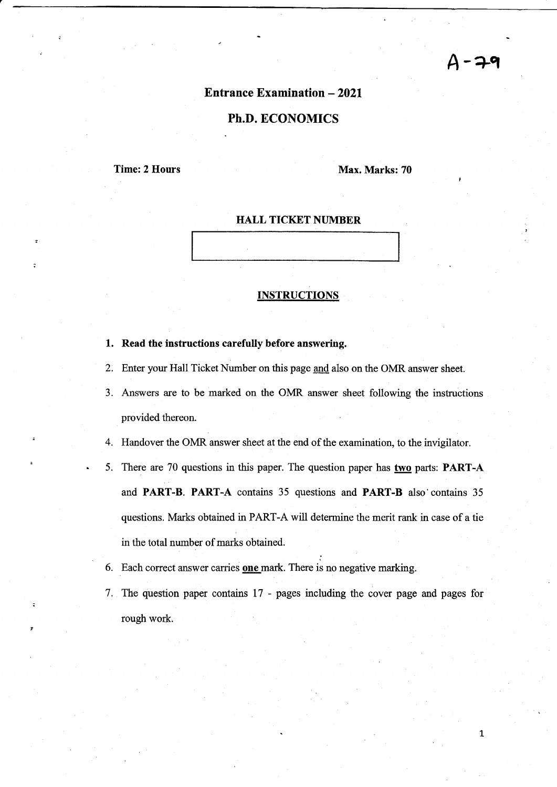# $-79$

 $\mathbf{1}$ 

### **Entrance Examination - 2021**

### Ph.D. ECONOMICS

Time: 2 Hours Max. Marks: 70

#### **HALL TICKET NUMBER**

#### INSTRUCTIONS

- 1. Read the instructions carefully before answering
- Enter your Hall Ticket Number on this page and also on the OMR answer sheet. 2.
- Answers are to be marked on the OMR answer sheet following the instructions 3. provided thereon.
- 4. Handover the OMR answer sheet at the end of the examination, to the invigilator.
- 5. There are 70 questions in this paper. The question paper has two parts: PART-A and PART-B. PART-A contains 35 questions and PART-B also'contains 35 questions. Marks obtained in PART-A will determine the merit rank in case of a tie in the total number of marks obtained.
- 6. Each correct answer carries **one** mark. There is no negative marking.
- The question paper contains 17 pages including the cover page and pages for 7.rough work.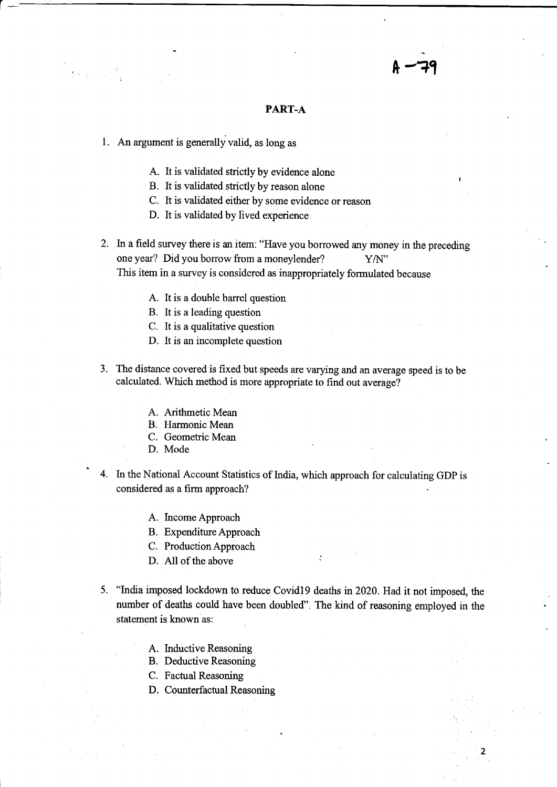#### PART-A

 $A - 79$ 

1. An argument is generally valid, as long as

r

- A. It is validated strictly by evidence alone
- B. It is validated strictly by reason alone
- C. It is validated either by some evidence or reason
- D. It is validated by lived experience
- 2. In a field survey there is an item: "Have you borrowed any money in the preceding one year? Did you borrow from a moneylender? Y/N" This item in a survey is considered as inappropriately formulated because
	- A. It is a double barrel question
	- B. It is a leading question
	- C. It is a qualitative question
	- D. It is an incomplete question
- 3. The distance covered is fixed but speeds are varying and an average speed is to be calculated. Which method is more appropriate to find out average?
	- A. Arithmetic Mean
	- B. Harmonic Mean
	- C. Geometric Mean
	- D. Mode
- 4. In the National Account Statistics of India, which approach for calculating GDP is considered as a firm approach?
	- A. IncomeApproach
	- B. Expenditure Approach
	- C. ProductionApproach
	- D. All of the above
- 5. "India imposed lockdown to reduce Covid19 deaths in 2020. Had it not imposed, the number of deaths could have been doubled". The kind of reasoning employed in the statement is known as:
	- A. Inductive Reasoning
	- B. Deductive Reasoning
	- C. Factual Reasoning
	- D. Counterfactual Reasoning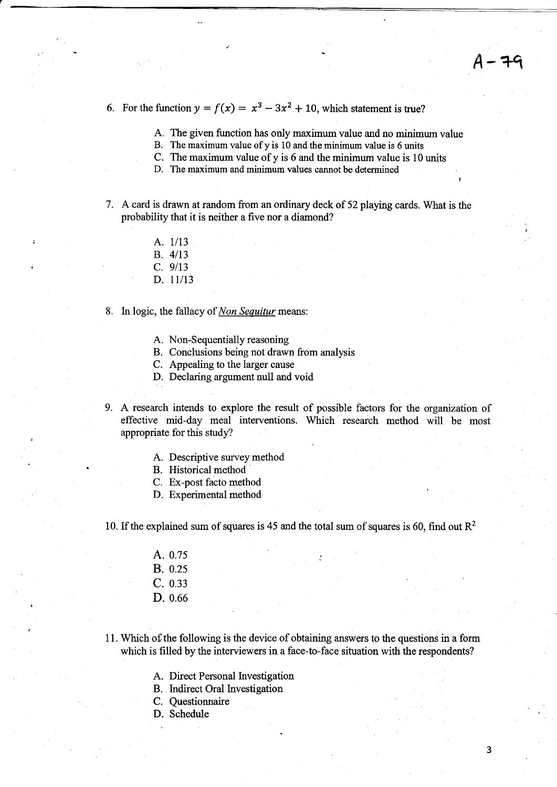$4 - 79$ 

- 6. For the function  $y = f(x) = x^3 3x^2 + 10$ , which statement is true?
	- A. The given function has only maximum value and no minimum value
	- B. The maximum value of y is 10 and the minimum value is 6 units
	- C. The maximum value of y is 6 and the minimum value is 10 units
	- D. The maximum and minimum values cannot be determined
- 7. A card is drawn at random from an ordinary deck of 52 playrng cards. What is the probability that it is neither a five nor a diamond?
	- A. 1/13
	- $B. 4/13$
	- $C. 9/13$
	- D. 1l/13
- 8. In logic, the fallacy of *Non Sequitur* means:
	- A. Non-Sequentially reasoning
	- B. Conclusions being not drawn from analysis
	- C. Appealing to the larger cause
	- D. Declaring argument null and void
- 9. A research intends to explore the result of possible factors for the organization of effective mid-day meal interventions. Which research method will be most appropriate for this study?
	- A. Descriptive survey method
	- B. Historical method
	- C. Ex-post facto method
	- D. Experimental method

10. If the explained sum of squares is 45 and the total sum of squares is 60, find out  $\mathbb{R}^2$ 

- A. 0.75 B. 0.25  $C. 0.33$ D. 0.66
- 11. Which of the following is the device of obtaining answors to the questions in a form which is filled by the interviewers in a face-to-face situation with the respondents?
	- A. Direct Personal Investigation
	- B. Indirect Oral Investigation
	- C. Questionnaire
	- D. Schedule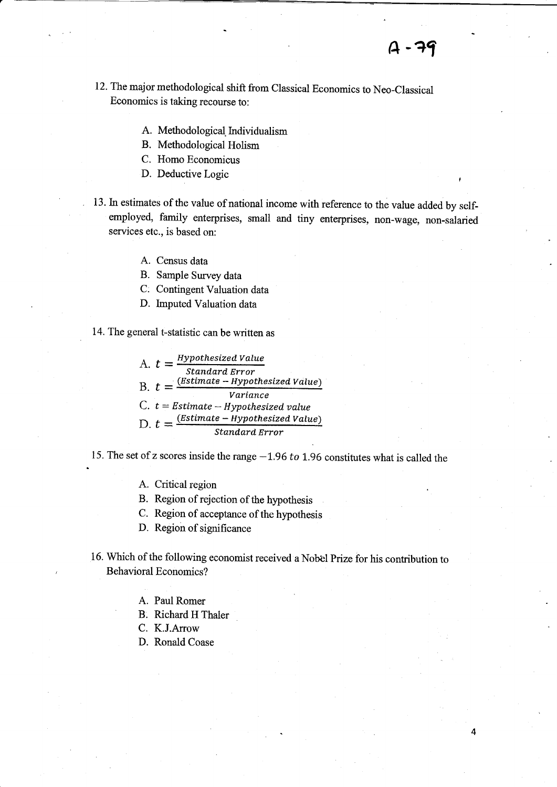4

- 12. The major methodological shift from Classical Economics to Neo-Classical Economics is taking recourse to:
	- A. Methodological Individualism
	- B. Methodologioal Holism
	- C. Homo Economicus
	- D. Deductive Logic
- 13. In estimates of the value of national income with reference to the value added by selfemployed, family enterprises, small and tiny enterprises, non-wage, non-salaried services etc., is based on:
	- A. Census data
	- B. Sample Survey data
	- C. Contingent Valuation data
	- D. Imputed Valuation data

14. The general t-statistic can be written as

A.  $t = \frac{Hypothesized Value}{Standard Error}$  $B. t = \frac{(Estimate - Hypothesized Value)}{Variance}$ Standard Error Variance C.  $t = Estimate - Hypothesized value$  $\Gamma$  t =  $\frac{(Estimate - HypothesizedValue)}{E}$ 

15. The set of z scores inside the range  $-1.96$  to 1.96 constitutes what is called the

A. Critical region

B. Region of rejection of the hypothesis

C. Region of acceptance of the hypothesis

- D. Region of significance
- 16. Which of the following economist received a Nobel Prize for his contribution to Behavioral Economics?
	- A. Paul Romer
	- B. Richard H Thaler
	- C. K.J.Arrow
	- D. Ronald Coase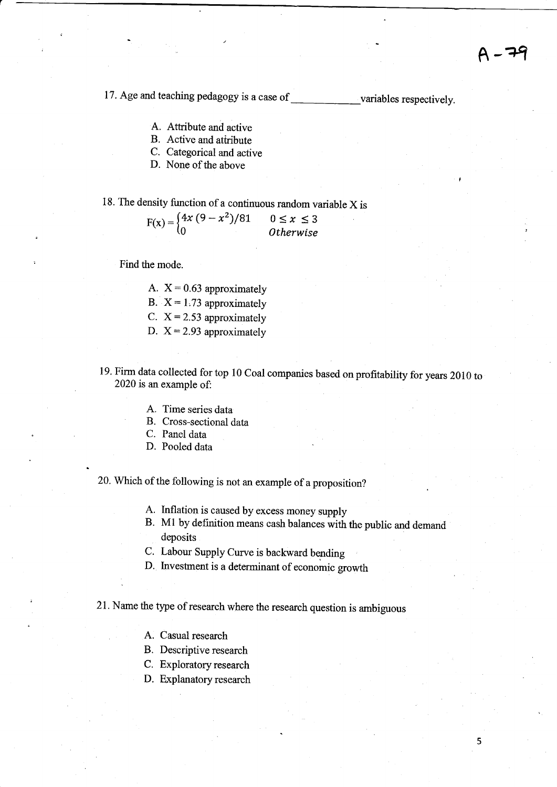5

17. Age and teaching pedagogy is a case of variables respectively.

- A. Atfibute and active
- B. Active and atiribute
- C. Categorical and active
- D. None of the above

## 18. The density function of a continuous random variable  $X$  is

$$
F(x) = \begin{cases} 4x(9 - x^2)/81 & 0 \le x \le 3\\ 0 & Otherwise \end{cases}
$$

Find the mode.

A.  $X = 0.63$  approximately B.  $X = 1.73$  approximately C.  $X = 2.53$  approximately D.  $X = 2.93$  approximately

19. Firm data collected for top 10 Coal companies based on profitability for years 2010 to 2020 is an example ot

- A. Time series data
- B. Cross-sectional data
- C. Panel data
- D. Pooled data

20. Which of the following is not an example of a proposition?

- A. Inflation is caused by excess money supply
- B. Ml by definition means cash balances with the public and demand deposits
- C, Labour Supply Curve is backward bending
- D. Investment is a determinant of economic growth

21. Name the type of research where the research question is ambiguous

- A. Casual research
- B. Descriptive research
- C. Exploratory research
- D. Explanatory research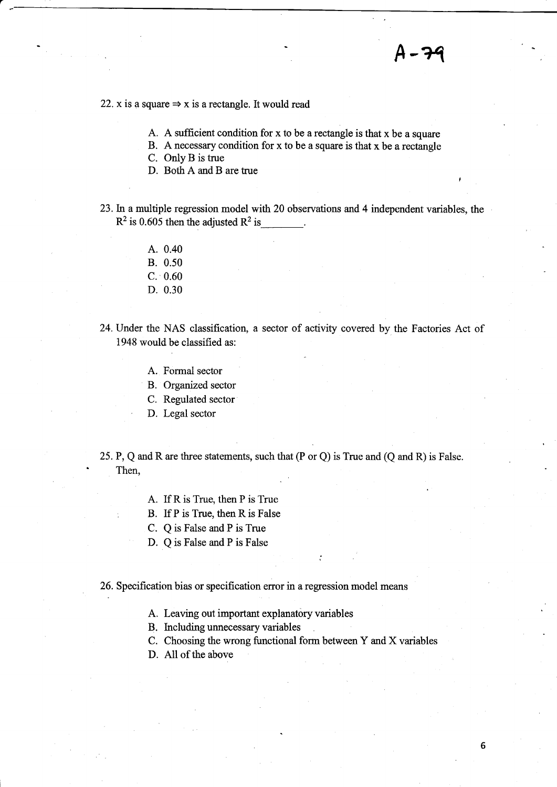22. x is a square  $\Rightarrow$  x is a rectangle. It would read

- A. A sufficient condition for x to be a rectangle is that  $x$  be a square
- B. A necessary condition for  $x$  to be a square is that  $x$  be a rectangle

C. OnlyB is true

D. Both A and B are ffue

23. In a multiple regression model with 20 observations and 4 independent variables, the  $R^2$  is 0.605 then the adjusted  $R^2$  is

- A. 0.40
- B. 0.50
- c. 0.60
- D. 0.30
- 24. Under the NAS classification, a sector of activity covered by the Factories Act of 1948 would be classified as:
	- A. Formal sector
	- B. Organized sector
	- C. Regulated sector
	- D. Legal sector
- 25.P, Q and R are three statements, such that (P or Q) is True and (Q and R) is False. ' Then,
	- A. If R is True, then P is True
	- : B. If P is True, then R is False
	- C. Q is False and P is True
	- D. Q is False and P is False

#### 26. Specification bias or specification error in a regression model means

- A. Leaving out important explanatory variables
- B. Including unnecessary variables
- C. Choosing the wrong functional form between Y and X variables
- D. All of the above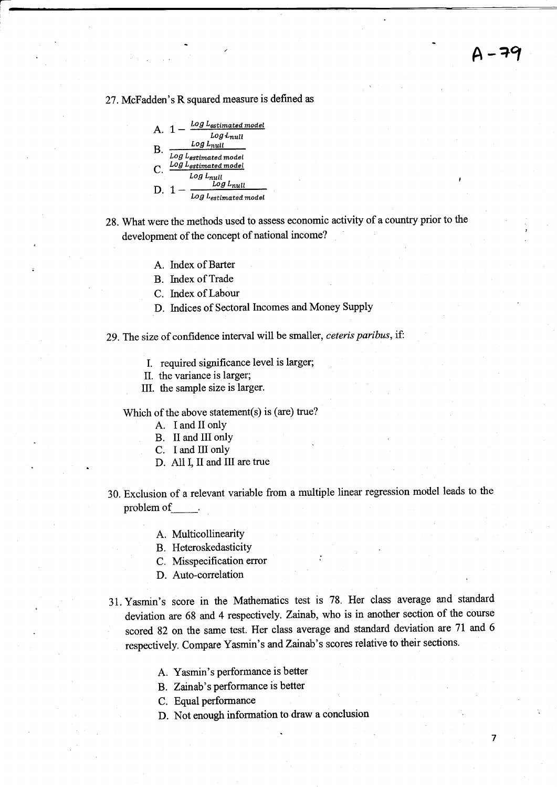7

2T.McEadden's R squared measure is defined as



28. What were the methods used to assess economic activity of a country prior to the development of the concept of national income?

- A. Index of Barter
- B. Index of Trade

C. Index of Labour

D. Indices of Sectoral Incomes and Money Supply

29. The size of confidence interval will be smaller, ceteris paribus, if:

L required significance level is larger;

II. the variance is larger;

III. the sample size is larger.

Which of the above statement(s) is (are) true?

- A. <sup>I</sup>and II onlY
- B. II and III only
- C. I and III onlY
- D. A1l I, II and III are true
- 30. Exclusion of a relevant variable from a multiple linear regression model leads to the problem of
	- A. Multicollinearity

B. Heteroskedasticity

- C. Misspecification error
- D. Auto-correlation
- 31. Yasmrn's score in the Mathematics test is 78. Her class average and standard deviation are 68 and 4 respectively, Zainab, who is in another section of the course scored 82 on the same test. Her class average and standard deviation are 7l and <sup>6</sup> respectively. Compare Yasmin's and Zainab's scores relative to their sections.
	- A. Yasmin's performance is better
	- B. Zainab's performance is better
	- C. Equal performance
	- D. Not enough information to draw a conclusion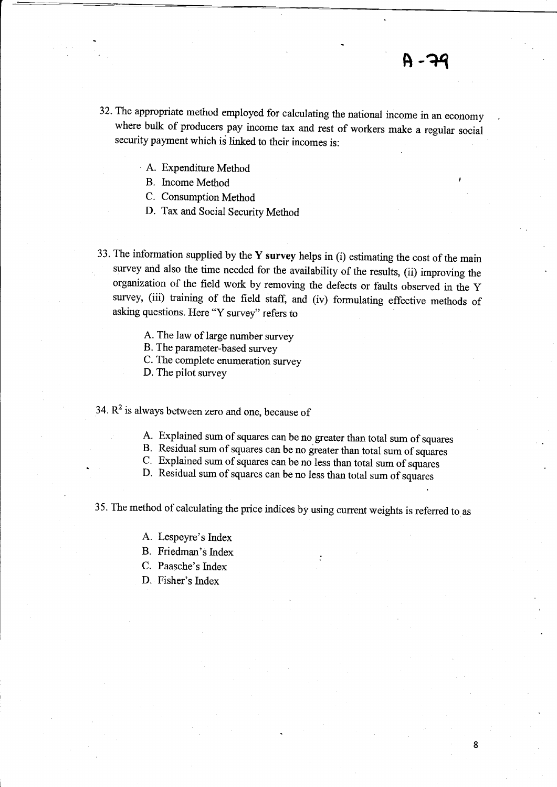- 32. The appropriate method employed for calculating the national income in an economy where bulk of producers pay income tax and rest of workers make a regular social security payment which is linked to their incomes is:
	- A. Expenditure Method

B. Income Method

C. Consumption Method

- D. Tax and Social Security Method
- 33. The information supplied by the Y survey helps in (i) estimating the cost of the main survey and also the time needed for the availability of the results, (ii) improving the organization of the field work by removing the defects or faults observed in the y survey, (iii) training of the field staff, and (iv) formulating effective methods of asking questions. Here "Y survey" refers to
	- A. The law of large number survey

B. The parameter-based survey

C. The complete enumeration survey

D. The pilot survey

34.  $R^2$  is always between zero and one, because of

- A. Explained sum of squares can be no greater than total sum of squares B. Residual sum of squares can be no greater than total sum of squares
- 
- c. Explained sum of squares can be no less than total sum of squares
- D. Residual sum of squares can be no less than total sum of squares

35. The method of calculating the price indices by using current weights is referred to as

- A. Lespeyre's Index
- B. Friedman's Index
- C. Paasche's Index
- D. Fisher's Index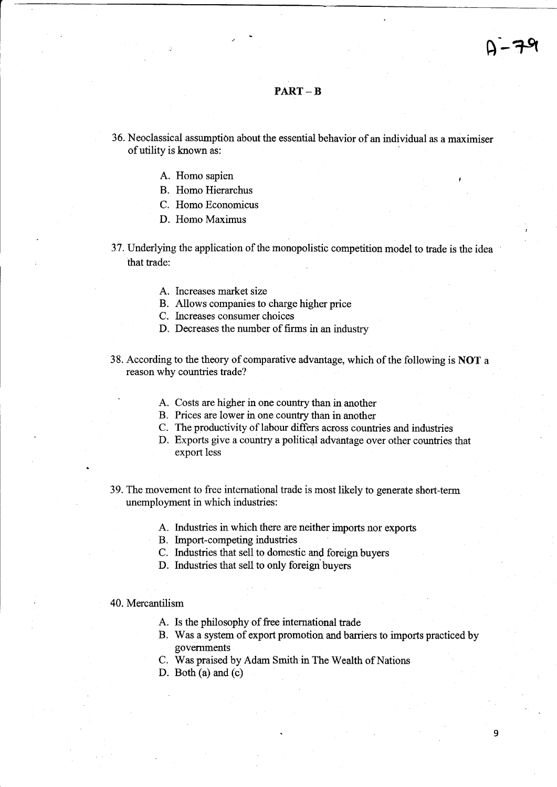### PART \_ B

- 36. Neoclassical assumption about the essential behavior of an individual as a maximiser of utility is known as:
	- A. Homo sapien
	- B. Homo Hierarchus
	- C. Homo Economicus
	- D. Homo Maximus
- 37. Underlying the application of the monopolistic competition model to trade is the idea that trade:
	- A. Increases market size
	- B. Allows companies to charge higher price
	- C. Increases consumer choices
	- D. Decreases the number of firms in an industry
- 38. According to the theory of comparative advantage, which of the following is NOT a reason why countries trade?
	- A. Costs are higher in one country than in another
	- B. Prices are lower in one country than in another
	- C. The productivity of labour differs across countries and industries
	- D. Exports give a country a political advantage over other countries that export less
- 39. The movement to free international trade is most likely to generate short-term unemployment in which industries:
	- A. Industries in which there are neither imports nor exports
	- B. Import-competing industries
	- C. Industries that sell to domestic and foreign buyers
	- D. Industries that sell to only foreign buyers

#### 40. Mercantilism

- A. ls the philosophy of free international trade
- B. Was a system of export promotion and barriers to imports practiced by govemments
- C. Was praised by Adam Smith in The Wcalth of Nations
- D. Both (a) and (c)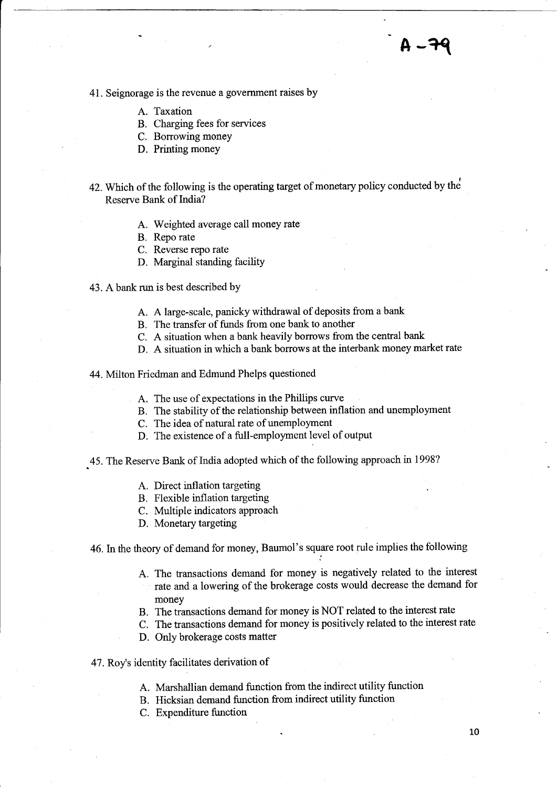# A-79

41. Seignorage is the revenue a government raises by

- A. Taxation
- B. Charging fees for services
- C. Borrowing money
- D. Printing money
- 42. Which of the following is the operating target of monetary policy conducted by the Reserve Bank of India?
	- A. Weighted average call money rate
	- B. Repo rate
	- C. Reverse repo rate
	- D. Marginal standing facility
- 43. A bank run is best described by
	- A. A large-scale, panicky withdrawal of deposits from a bank
	- B. The transfer of funds from one bank to another
	- C. A situation when a bank heavily borrows from the central bank
	- D. A situation in which a bank borrows at the interbank money market rate
- 44. Milton Friedman and Edmund Phelps questioned
	- A. The use of expectations in the Phillips curve
	- B. The stability of the relationship between inflation and unemployment
	- C. The idea of natural rate of unemployment
	- D. The existence of a full-employment level of output
- 45. The Reserve Bank of India adopted which of the following approach in 1998?
	- A. Direct inflation targeting
	- B. Flexible inflation targeting
	- C. Multiple indicators approach
	- D. Monetary targeting

46. In the theory of demand for money, Baumol's square root rule implies the following

- A. The transactions demand for money is negatively related to the interest rate and a lowering of the brokerage costs would decrease the demand for money
- B. The transactions demand for money is NOT related to the interest rate
- C. The transactions demand for money is positively related to the interest rate
- D. Only brokerage costs matter
- 47. Roy's identity facilitates derivation of
	- A. Marshallian demand function from the indirect utility function
	- B. Hicksian demand function from indirect utility function
	- C. Expenditure fimction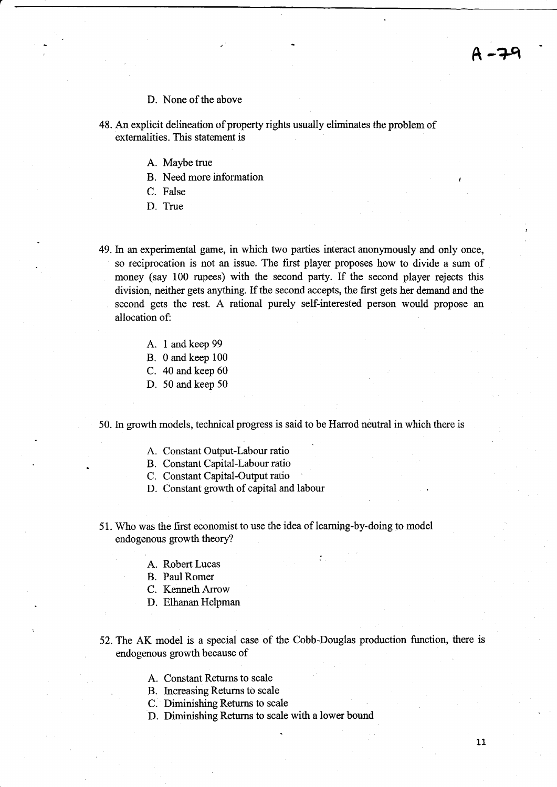#### D. None of the above

- 48. An explicit delineation of property rights usually eliminates the problem of externalities. This statement is
	- A. Maybe true
	- B. Need more information
	- C. False
	- D. True

49.In an experimental game, in which two parties interact anonyrnously and only once, so reciprocation is not an issue. The first player proposes how to divide a sum of money (say 100 rupees) with the second party. If the second player rejects this division, neither gets anything. If the second accepts, the first gets her demand and the second gets the rest. A rational purely self-interested person would propose an allocation of:

- A. I and keep <sup>99</sup>
- B. 0 and keep <sup>100</sup>
- C. 40 and keep 60
- D. 50 and keep 50

50. In growth models, technical progress is said to be Harrod neutral in which there is

- A. Constant Output-Labour ratio
- B. Constant Capital-Labour ratio
- C. Constant Capital-Output ratio
- D. Constant growth of capital and labour
- 51. Who was the frst economist to use the idea of leamipg-by-doing to model endogenous growth theory?
	- A. Robert Lucas
	- B. Paul Romer
	- C. Kenneth Arrow
	- D. Elhanan Helpman
- 52. The AK model is a special case of the Cobb-Douglas production function, there is endogenous growth because of

:

- A. Constant Returns to scale
- . B. Increasing Returns to scale
- C. Diminishing Returns to scale
- D. Diminishing Retums to scale with a lower bound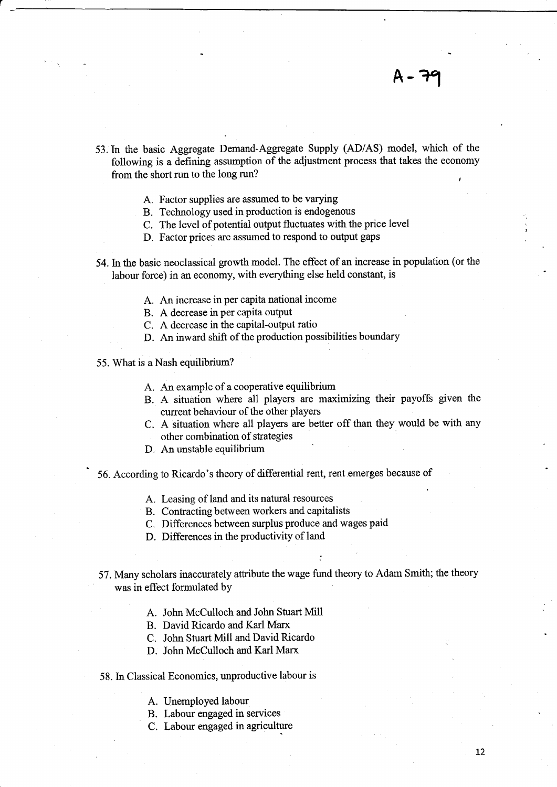- 53.In the basic Aggregate Demand-Aggregate Supply (AD/AS) model, which of the following is a defining assumption of the adjustrnent process that takes the economy from the short run to the long run? t
	- A. Factor supplies are assumed to be varying
	- B. Technology used in production is endogenous
	- C. The level of potential output fluctuates with the price level
	- D. Factor prices are assumed to respond to output gaps
- 54. In the basic neoclassical growth model. The effect of an increase in population (or the labour force) in an economy, with everything else held constant, is
	- A. An increase in per capita national income
	- B. A decrease in per capita output
	- C. A decrease in the capital-output ratio
	- D. An inward shift of the production possibilities boundary
- 55. What is a Nash equilibrium?
	- A. An example of a cooperative equilibrium
	- B. A situation where all players are maximizing their payoffs given the current behaviour of the other players
	- C. A situation where all players are better off than they would be with any other combination of strategies

..

- D. An unstable equilibrium
- 56. According to Ricardo's theory of differential rent, rent emerges because of
	- A. Leasing of land and its natural resources
	- B. Contracting between workers and capitalists
	- C. Differences between surplus produce and wages paid
	- D. Differences in the productivity of land
- 57. Many scholars inaccurately atfibute the wage fund theory to Adam Smith; the theory was in effect formulated by
	- A. John McCulloch and John Stuart Mill
	- B. David Ricardo and Karl Marx
	- C. John Stuart Mill and David Ricardo
	- D. John McCulloch and Karl Marx
- 58. In Classical Economics, unproductive labour is
	- A. Unemployed labour
	- B. Labour engaged in services
	- C. Labour engaged in agriculture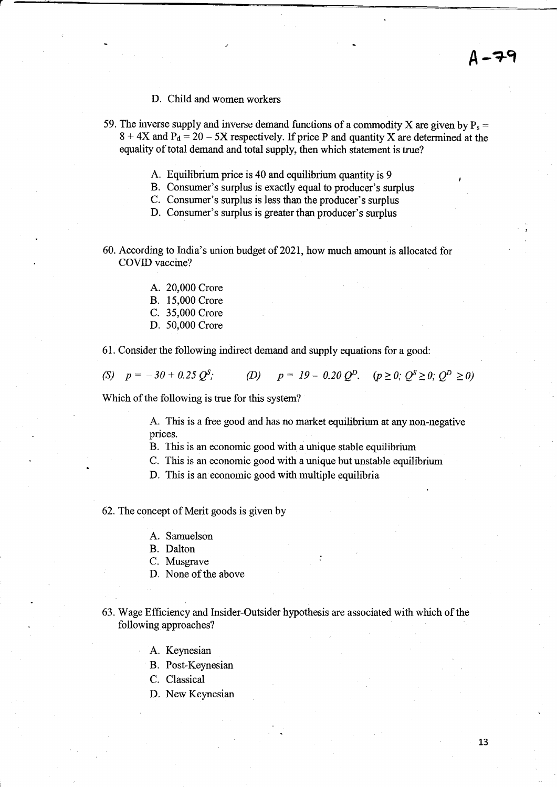- D. Child and women workers
- 59. The inverse supply and inverse demand functions of a commodity X are given by  $P_s =$  $8 + 4X$  and  $P_d = 20 - 5X$  respectively. If price P and quantity X are determined at the equality of total demand and total supply, then which statement is true?
	- A. Equilibrium price is 40 and equilibrium quantity is 9
	- B. Consumer's surplus is exactly equal to producer's surplus
	- C. Consumer's surplus is less than the producer's surplus
	- D. Consumer's surplus is greater than producer's surplus
- 60. According to India's union budget of 2021, how much amount is allocated for COVID vaccine?
	- A. 20,000 Crore
	- B. 15,000 Crore
	- C. 35,000 Crore
	- D. 50,000 Crore

61. Consider the following indirect demand and supply equations for a good:

(S)  $p = -30 + 0.25 Q^S$ ; (D)  $p = 19 - 0.20 Q^D$ .  $(p \ge 0; Q^S \ge 0; Q^D > 0)$ 

Which of the following is true for this system?

A. This is a free good and has no market equilibrium at any non-negative prices.

B. This is an economic good with a unique stable equilibrium

- C. This is an economic good with a unique but unstable equilibrium
- D. This is an economic good with multiple equilibria

62.The concept of Merit goods is given by

- A. Samuelson
- B. Dalton
- C. Musgrave
- D. None of the above
- 63. Wage Efficiency and Insider-Outsider hypothesis are associated with which of the following approaches?
	- A. Keynesian
	- B. Post-Keynesian
	- C. Classical
	- D. New Keynesian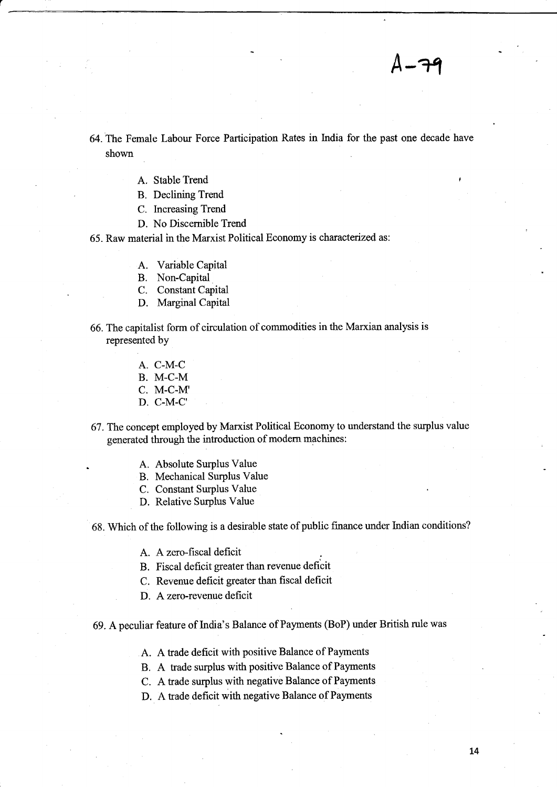$1 - 79$ 

64. The Female Labour Force Participation Rates in India for the past one decade have shown

- A. Stable Trend
- B. Declining Trend
- C. Increasing Trend
- D. No Discernible Trend

65. Raw material in the Marxist Political Economy is characterized as:

- A. Variable Capital
- B. Non-Capital
- C. Constant Capital
- D. Marginal Capital

66. The capitalist form of circulation of commodities in the Marxian analysis is represented by

- A. C-M-C
- B. M-C.M
- C. M-C-M'
- D. C-M-C'

67. The concept employed by Marxist Political Economy to understand the surplus value generated through the introduction of modern machines:

- . A. Absolute Surplus Value
- B. Mechanical Surplus Value
- C. Constant Surplus Value
- D. Relative Surplus Value

68. Which of the following is a desirable state of public finance under Indian conditions?

A. A zero-fiscal deficit

B. Fiscal deficit greater than revenue deficit

C. Revenue deficit greater than fiscal deficit

D. A zero-revenue deficit

69. A peculiar feature of India's Balance of Payments (BoP) under British rule was

- A. A trade deficit with positive Balance of Payments
- B. A fiade surplus with positive Balance of Payments
- C. A trade surplus with negative Balance of Payments
- D. A trade deficit with negative Balance of Payments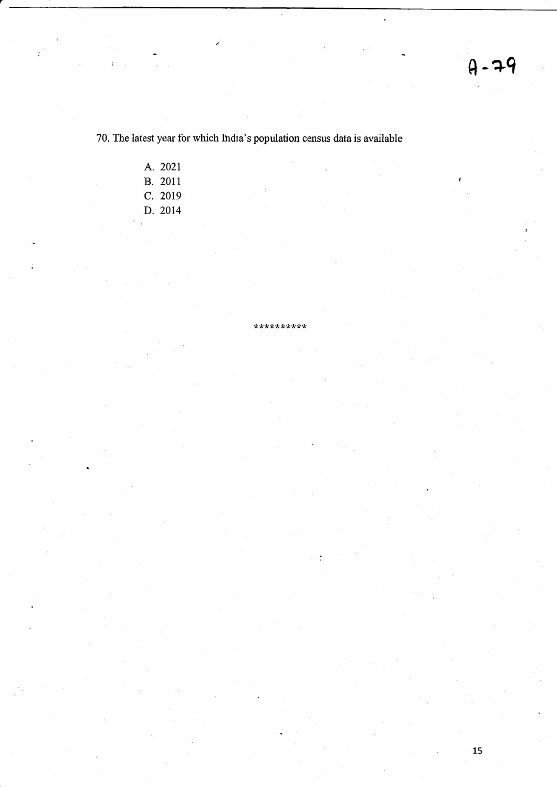$\ddot{\phantom{a}}$ 

70. The latest year for which lhdia's population census data is available

\*\*t<tr:krttr\*\*\*

J.

A. 202t **B.** 2011 C. 2019 D. 2014

15